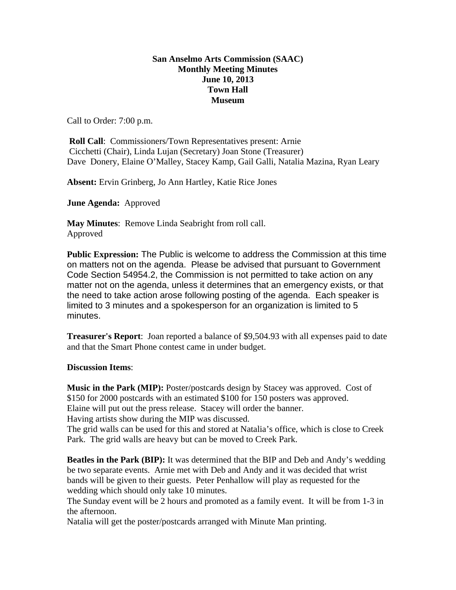## **San Anselmo Arts Commission (SAAC) Monthly Meeting Minutes June 10, 2013 Town Hall Museum**

Call to Order: 7:00 p.m.

**Roll Call:** Commissioners/Town Representatives present: Arnie Cicchetti (Chair), Linda Lujan (Secretary) Joan Stone (Treasurer) Dave Donery, Elaine O'Malley, Stacey Kamp, Gail Galli, Natalia Mazina, Ryan Leary

**Absent:** Ervin Grinberg, Jo Ann Hartley, Katie Rice Jones

**June Agenda:** Approved

**May Minutes**: Remove Linda Seabright from roll call. Approved

**Public Expression:** The Public is welcome to address the Commission at this time on matters not on the agenda. Please be advised that pursuant to Government Code Section 54954.2, the Commission is not permitted to take action on any matter not on the agenda, unless it determines that an emergency exists, or that the need to take action arose following posting of the agenda. Each speaker is limited to 3 minutes and a spokesperson for an organization is limited to 5 minutes.

**Treasurer's Report**: Joan reported a balance of \$9,504.93 with all expenses paid to date and that the Smart Phone contest came in under budget.

**Discussion Items**:

**Music in the Park (MIP):** Poster/postcards design by Stacey was approved. Cost of \$150 for 2000 postcards with an estimated \$100 for 150 posters was approved. Elaine will put out the press release. Stacey will order the banner. Having artists show during the MIP was discussed.

The grid walls can be used for this and stored at Natalia's office, which is close to Creek Park. The grid walls are heavy but can be moved to Creek Park.

**Beatles in the Park (BIP):** It was determined that the BIP and Deb and Andy's wedding be two separate events. Arnie met with Deb and Andy and it was decided that wrist bands will be given to their guests. Peter Penhallow will play as requested for the wedding which should only take 10 minutes.

The Sunday event will be 2 hours and promoted as a family event. It will be from 1-3 in the afternoon.

Natalia will get the poster/postcards arranged with Minute Man printing.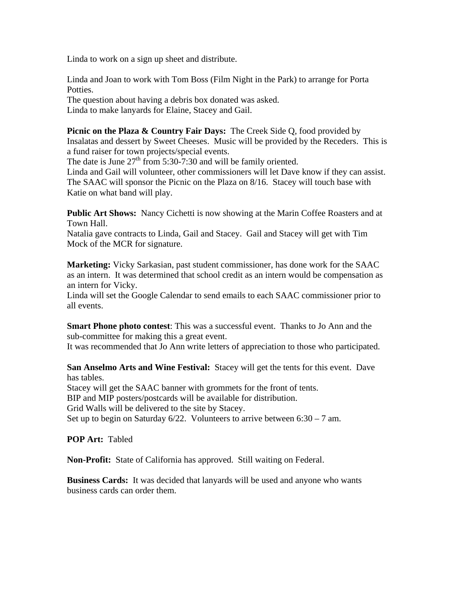Linda to work on a sign up sheet and distribute.

Linda and Joan to work with Tom Boss (Film Night in the Park) to arrange for Porta Potties.

The question about having a debris box donated was asked. Linda to make lanyards for Elaine, Stacey and Gail.

**Picnic on the Plaza & Country Fair Days:** The Creek Side Q, food provided by Insalatas and dessert by Sweet Cheeses. Music will be provided by the Receders. This is a fund raiser for town projects/special events.

The date is June  $27<sup>th</sup>$  from 5:30-7:30 and will be family oriented.

Linda and Gail will volunteer, other commissioners will let Dave know if they can assist. The SAAC will sponsor the Picnic on the Plaza on 8/16. Stacey will touch base with Katie on what band will play.

**Public Art Shows:** Nancy Cichetti is now showing at the Marin Coffee Roasters and at Town Hall.

Natalia gave contracts to Linda, Gail and Stacey. Gail and Stacey will get with Tim Mock of the MCR for signature.

**Marketing:** Vicky Sarkasian, past student commissioner, has done work for the SAAC as an intern. It was determined that school credit as an intern would be compensation as an intern for Vicky.

Linda will set the Google Calendar to send emails to each SAAC commissioner prior to all events.

**Smart Phone photo contest**: This was a successful event. Thanks to Jo Ann and the sub-committee for making this a great event.

It was recommended that Jo Ann write letters of appreciation to those who participated.

**San Anselmo Arts and Wine Festival:** Stacey will get the tents for this event. Dave has tables.

Stacey will get the SAAC banner with grommets for the front of tents.

BIP and MIP posters/postcards will be available for distribution.

Grid Walls will be delivered to the site by Stacey.

Set up to begin on Saturday  $6/22$ . Volunteers to arrive between  $6:30 - 7$  am.

**POP Art:** Tabled

**Non-Profit:** State of California has approved. Still waiting on Federal.

**Business Cards:** It was decided that lanyards will be used and anyone who wants business cards can order them.